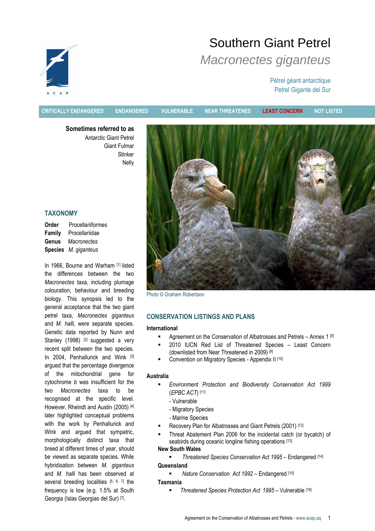# Southern Giant Petrel Macronectes giganteus

# Pétrel géant antarctique Petrel Gigante del Sur

CRITICALLY ENDANGERED ENDANGERED VULNERABLE NEAR THREATENED LEAST CONCERN NOT LISTED

Sometimes referred to as Antarctic Giant Petrel Giant Fulmar **Stinker** Nelly

# TAXONOMY

Order Procellariiformes Family Procellariidae Genus Macronectes Species M. giganteus

In 1966, Bourne and Warham [1] listed the differences between the two Macronectes taxa, including plumage colouration, behaviour and breeding biology. This synopsis led to the general acceptance that the two giant petrel taxa, Macronectes giganteus and M. halli, were separate species. Genetic data reported by Nunn and Stanley (1998) [2] suggested a very recent split between the two species. In 2004, Penhallurick and Wink [3] argued that the percentage divergence of the mitochondrial gene for cytochrome b was insufficient for the two Macronectes taxa to be recognised at the specific level. However, Rheindt and Austin (2005) [4] later highlighted conceptual problems with the work by Penhallurick and Wink and argued that sympatric, morphologically distinct taxa that breed at different times of year, should be viewed as separate species. While hybridisation between M. giganteus and M. halli has been observed at several breeding localities [5, 6, 7] the frequency is low (e.g. 1.5% at South Georgia (Islas Georgias del Sur) [7] .



Photo © Graham Robertson

# CONSERVATION LISTINGS AND PLANS

## International

- Agreement on the Conservation of Albatrosses and Petrels Annex 1 [8]
- 2010 IUCN Red List of Threatened Species Least Concern (downlisted from Near Threatened in 2009) [9]
- Convention on Migratory Species Appendix II [10]

#### Australia

- Environment Protection and Biodiversity Conservation Act 1999 (EPBC ACT) [11]
	- Vulnerable
	- Migratory Species
	- Marine Species
- Recovery Plan for Albatrosses and Giant Petrels (2001) [12]
- Threat Abatement Plan 2006 for the incidental catch (or bycatch) of seabirds during oceanic longline fishing operations [13]

# New South Wales

- Threatened Species Conservation Act 1995 Endangered [14] **Queensland** 
	- Nature Conservation Act 1992 Endangered [15]

## Tasmania

Threatened Species Protection Act 1995 – Vulnerable [16]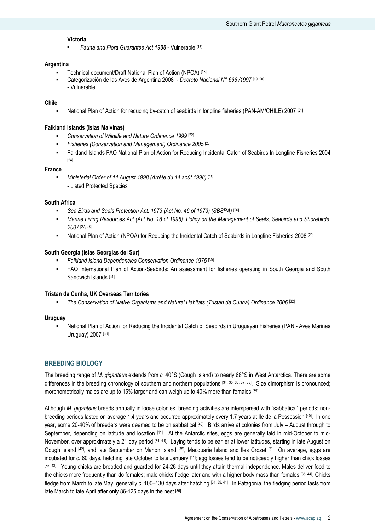#### Victoria

Fauna and Flora Guarantee Act 1988 - Vulnerable [17]

#### Argentina

- Technical document/Draft National Plan of Action (NPOA) [18]
- Categorización de las Aves de Argentina 2008 Decreto Nacional N° 666 /1997 [19, 20] - Vulnerable

#### Chile

• National Plan of Action for reducing by-catch of seabirds in longline fisheries (PAN-AM/CHILE) 2007 [21]

#### Falkland Islands (Islas Malvinas)

- **EXECONSERVATED OF Wildlife and Nature Ordinance 1999** [22]
- Fisheries (Conservation and Management) Ordinance 2005<sup>[23]</sup>
- Falkland Islands FAO National Plan of Action for Reducing Incidental Catch of Seabirds In Longline Fisheries 2004 [24]

#### France

Ministerial Order of 14 August 1998 (Arrêté du 14 août 1998) [25] - Listed Protected Species

#### South Africa

- Sea Birds and Seals Protection Act, 1973 (Act No. 46 of 1973) (SBSPA) [26]
- Marine Living Resources Act (Act No. 18 of 1996): Policy on the Management of Seals, Seabirds and Shorebirds: 2007 [27, 28]
- National Plan of Action (NPOA) for Reducing the Incidental Catch of Seabirds in Longline Fisheries 2008 [29]

#### South Georgia (Islas Georgias del Sur)

- Falkland Island Dependencies Conservation Ordinance 1975 [30]
- FAO International Plan of Action-Seabirds: An assessment for fisheries operating in South Georgia and South Sandwich Islands [31]

#### Tristan da Cunha, UK Overseas Territories

The Conservation of Native Organisms and Natural Habitats (Tristan da Cunha) Ordinance 2006 [32]

#### Uruguay

 National Plan of Action for Reducing the Incidental Catch of Seabirds in Uruguayan Fisheries (PAN - Aves Marinas Uruguay) 2007 [33]

### BREEDING BIOLOGY

The breeding range of M. giganteus extends from c. 40°S (Gough Island) to nearly 68°S in West Antarctica. There are some differences in the breeding chronology of southern and northern populations  $[34, 35, 36, 37, 38]$ . Size dimorphism is pronounced: morphometrically males are up to 15% larger and can weigh up to 40% more than females [39].

Although M. giganteus breeds annually in loose colonies, breeding activities are interspersed with "sabbatical" periods; nonbreeding periods lasted on average 1.4 years and occurred approximately every 1.7 years at Ile de la Possession [40]. In one year, some 20-40% of breeders were deemed to be on sabbatical [40]. Birds arrive at colonies from July – August through to September, depending on latitude and location [41]. At the Antarctic sites, eggs are generally laid in mid-October to mid-November, over approximately a 21 day period [34, 41]. Laying tends to be earlier at lower latitudes, starting in late August on Gough Island <sup>[42]</sup>, and late September on Marion Island <sup>[35]</sup>, Macquarie Island and Iles Crozet [6]. On average, eggs are incubated for c. 60 days, hatching late October to late January [41]; egg losses tend to be noticeably higher than chick losses [35, 43]. Young chicks are brooded and guarded for 24-26 days until they attain thermal independence. Males deliver food to the chicks more frequently than do females; male chicks fledge later and with a higher body mass than females [35, 44]. Chicks fledge from March to late May, generally c. 100–130 days after hatching [34, 35, 41]. In Patagonia, the fledging period lasts from late March to late April after only 86-125 days in the nest [36].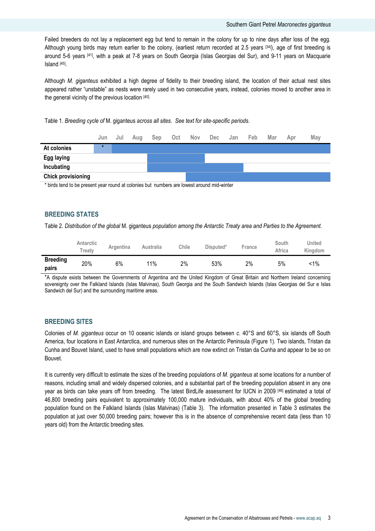Failed breeders do not lay a replacement egg but tend to remain in the colony for up to nine days after loss of the egg. Although young birds may return earlier to the colony, (earliest return recorded at 2.5 years [34]), age of first breeding is around 5-6 years [41], with a peak at 7-8 years on South Georgia (Islas Georgias del Sur), and 9-11 years on Macquarie Island [45] .

Although M. giganteus exhibited a high degree of fidelity to their breeding island, the location of their actual nest sites appeared rather "unstable" as nests were rarely used in two consecutive years, instead, colonies moved to another area in the general vicinity of the previous location [40].

Table 1. Breeding cycle of M. giganteus across all sites. See text for site-specific periods.

|                           | Jun     | Jul | Aug | Sep           | Oct | Nov Dec | Jan | Feb | Mar | Apr | May |
|---------------------------|---------|-----|-----|---------------|-----|---------|-----|-----|-----|-----|-----|
| At colonies               | $\star$ |     |     |               |     |         |     |     |     |     |     |
| Egg laying                |         |     |     |               |     |         |     |     |     |     |     |
| Incubating                |         |     |     |               |     |         |     |     |     |     |     |
| <b>Chick provisioning</b> |         |     |     |               |     |         |     |     |     |     |     |
|                           |         |     | .   | $\sim$ $\sim$ |     | .       |     |     |     |     |     |

\* birds tend to be present year round at colonies but numbers are lowest around mid-winter

## BREEDING STATES

Table 2. Distribution of the global M. giganteus population among the Antarctic Treaty area and Parties to the Agreement.

|                          | Antarctic<br><b>Treatv</b> | Argentina | Australia | Chile | Disputed* | France | South<br>Africa | United<br>Kingdom |
|--------------------------|----------------------------|-----------|-----------|-------|-----------|--------|-----------------|-------------------|
| <b>Breeding</b><br>pairs | 20%                        | 6%        | 11%       | 2%    | 53%       | 2%     | 5%              | <1%               |

\*A dispute exists between the Governments of Argentina and the United Kingdom of Great Britain and Northern Ireland concerning sovereignty over the Falkland Islands (Islas Malvinas), South Georgia and the South Sandwich Islands (Islas Georgias del Sur e Islas Sandwich del Sur) and the surrounding maritime areas.

# BREEDING SITES

Colonies of M. giganteus occur on 10 oceanic islands or island groups between c. 40°S and 60°S, six islands off South America, four locations in East Antarctica, and numerous sites on the Antarctic Peninsula (Figure 1). Two islands, Tristan da Cunha and Bouvet Island, used to have small populations which are now extinct on Tristan da Cunha and appear to be so on Bouvet.

It is currently very difficult to estimate the sizes of the breeding populations of M. giganteus at some locations for a number of reasons, including small and widely dispersed colonies, and a substantial part of the breeding population absent in any one year as birds can take years off from breeding. The latest BirdLife assessment for IUCN in 2009 [46] estimated a total of 46,800 breeding pairs equivalent to approximately 100,000 mature individuals, with about 40% of the global breeding population found on the Falkland Islands (Islas Malvinas) (Table 3). The information presented in Table 3 estimates the population at just over 50,000 breeding pairs; however this is in the absence of comprehensive recent data (less than 10 years old) from the Antarctic breeding sites.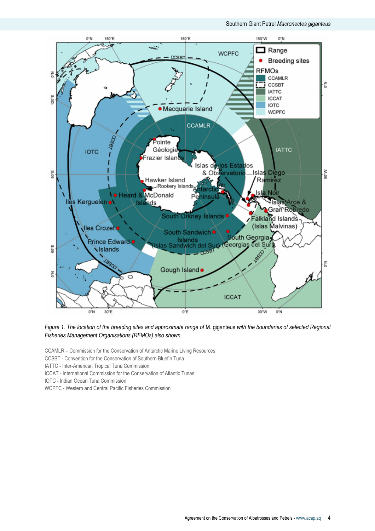

Figure 1. The location of the breeding sites and approximate range of M. giganteus with the boundaries of selected Regional Fisheries Management Organisations (RFMOs) also shown.

CCAMLR – Commission for the Conservation of Antarctic Marine Living Resources

CCSBT - Convention for the Conservation of Southern Bluefin Tuna

IATTC - Inter-American Tropical Tuna Commission

ICCAT - International Commission for the Conservation of Atlantic Tunas

IOTC - Indian Ocean Tuna Commission

WCPFC - Western and Central Pacific Fisheries Commission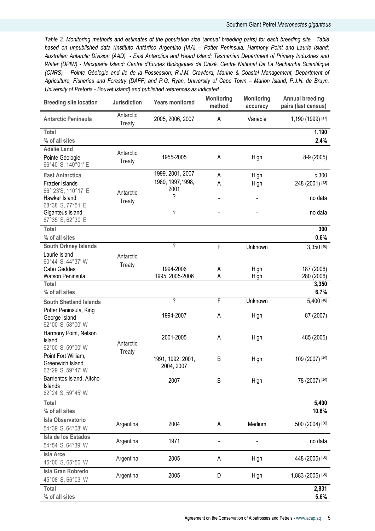#### Southern Giant Petrel Macronectes giganteus

Table 3. Monitoring methods and estimates of the population size (annual breeding pairs) for each breeding site. Table based on unpublished data (Instituto Antártico Argentino (IAA) – Potter Peninsula, Harmony Point and Laurie Island; Australian Antarctic Division (AAD) - East Antarctica and Heard Island; Tasmanian Department of Primary Industries and Water (DPIW) - Macquarie Island; Centre d'Etudes Biologiques de Chizé, Centre National De La Recherche Scientifique (CNRS) – Pointe Géologie and Ile de la Possession; R.J.M. Crawford, Marine & Coastal Management, Department of Agriculture, Fisheries and Forestry (DAFF) and P.G. Ryan, University of Cape Town – Marion Island; P.J.N. de Bruyn, University of Pretoria - Bouvet Island) and published references as indicated.

| <b>Breeding site location</b>                                 | <b>Jurisdiction</b> | <b>Years monitored</b>          | <b>Monitoring</b><br>method | <b>Monitoring</b><br>accuracy | <b>Annual breeding</b><br>pairs (last census) |
|---------------------------------------------------------------|---------------------|---------------------------------|-----------------------------|-------------------------------|-----------------------------------------------|
| <b>Antarctic Peninsula</b>                                    | Antarctic<br>Treaty | 2005, 2006, 2007                | A                           | Variable                      | 1,190 (1999) [47]                             |
| Total<br>% of all sites                                       |                     |                                 |                             |                               | 1,190<br>2.4%                                 |
| <b>Adélie Land</b><br>Pointe Géologie<br>66°40' S, 140°01' E  | Antarctic<br>Treaty | 1955-2005                       | A                           | High                          | 8-9 (2005)                                    |
| <b>East Antarctica</b>                                        |                     | 1999, 2001, 2007                | A                           | High                          | c.300                                         |
| Frazier Islands                                               |                     | 1989, 1997, 1998,               | Α                           | High                          | 248 (2001) [48]                               |
| 66° 23'S, 110°17' E<br>Hawker Island<br>68°38' S, 77°51' E    | Antarctic<br>Treaty | 2001<br>?                       | $\overline{\phantom{0}}$    |                               | no data                                       |
| Giganteus Island<br>67°35' S, 62°30' E                        |                     | ?                               |                             |                               | no data                                       |
| Total                                                         |                     |                                 |                             |                               | 300                                           |
| % of all sites                                                |                     |                                 |                             |                               | 0.6%                                          |
| South Orkney Islands                                          |                     | ?                               | F                           | Unknown                       | 3,350 [46]                                    |
| Laurie Island<br>60°44' S, 44°37' W                           | Antarctic           |                                 |                             |                               |                                               |
| Cabo Geddes                                                   | Treaty              | 1994-2006                       | A                           | High                          | 187 (2006)                                    |
| Watson Peninsula                                              |                     | 1995, 2005-2006                 | Α                           | High                          | 280 (2006)                                    |
| Total<br>% of all sites                                       |                     |                                 |                             |                               | 3,350<br>6.7%                                 |
| <b>South Shetland Islands</b>                                 |                     | $\overline{\phantom{a}}$        | F                           | Unknown                       | 5,400 [46]                                    |
| Potter Peninsula, King<br>George Island<br>62°00' S, 58°00' W |                     | 1994-2007                       | Α                           | High                          | 87 (2007)                                     |
| Harmony Point, Nelson<br>Island<br>62°00' S, 59°00' W         | Antarctic           | 2001-2005                       | Α                           | High                          | 485 (2005)                                    |
| Point Fort William,<br>Greenwich Island<br>62°29' S, 59°47' W | Treaty              | 1991, 1992, 2001,<br>2004, 2007 | B                           | High                          | 109 (2007) [49]                               |
| Barrientos Island, Aitcho<br>Islands<br>62°24' S, 59°45' W    |                     | 2007                            | B                           | High                          | 78 (2007) [49]                                |
| Total                                                         |                     |                                 |                             |                               | 5,400                                         |
| % of all sites                                                |                     |                                 |                             |                               | 10.8%                                         |
| <b>Isla Observatorio</b><br>54°39' S, 64°08' W                | Argentina           | 2004                            | A                           | Medium                        | 500 (2004) [36]                               |
| Isla de los Estados<br>54°54' S, 64°39' W                     | Argentina           | 1971                            |                             |                               | no data                                       |
| <b>Isla Arce</b><br>45°00' S, 65°50' W                        | Argentina           | 2005                            | А                           | High                          | 448 (2005) [50]                               |
| Isla Gran Robredo<br>45°08' S, 66°03' W                       | Argentina           | 2005                            | D                           | High                          | 1,883 (2005) [50]                             |
| <b>Total</b><br>% of all sites                                |                     |                                 |                             |                               | 2,831<br>5.6%                                 |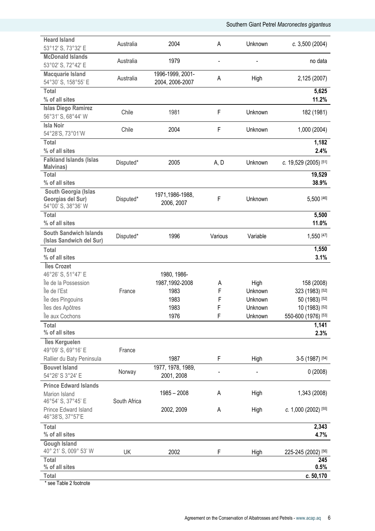Southern Giant Petrel Macronectes giganteus

| <b>Heard Island</b><br>53°12' S, 73°32' E                       | Australia    | 2004                                | A       | Unknown  | c. 3,500 (2004)              |
|-----------------------------------------------------------------|--------------|-------------------------------------|---------|----------|------------------------------|
| <b>McDonald Islands</b><br>53°02' S, 72°42' E                   | Australia    | 1979                                |         |          | no data                      |
| <b>Macquarie Island</b><br>54°30' S, 158°55' E                  | Australia    | 1996-1999, 2001-<br>2004, 2006-2007 | Α       | High     | 2,125 (2007)                 |
| <b>Total</b><br>% of all sites                                  |              |                                     |         |          | 5,625<br>11.2%               |
| <b>Islas Diego Ramirez</b><br>56°31' S, 68°44' W                | Chile        | 1981                                | F       | Unknown  | 182 (1981)                   |
| <b>Isla Noir</b><br>54°28'S, 73°01'W                            | Chile        | 2004                                | F       | Unknown  | 1,000 (2004)                 |
| <b>Total</b><br>% of all sites                                  |              |                                     |         |          | 1,182<br>2.4%                |
| <b>Falkland Islands (Islas</b><br>Malvinas)                     | Disputed*    | 2005                                | A, D    | Unknown  | c. 19,529 (2005) [51]        |
| <b>Total</b><br>% of all sites                                  |              |                                     |         |          | 19,529<br>38.9%              |
| South Georgia (Islas<br>Georgias del Sur)<br>54°00' S, 38°36' W | Disputed*    | 1971,1986-1988,<br>2006, 2007       | F       | Unknown  | 5,500 [46]                   |
| <b>Total</b><br>% of all sites                                  |              |                                     |         |          | 5,500<br>11.0%               |
| <b>South Sandwich Islands</b><br>(Islas Sandwich del Sur)       | Disputed*    | 1996                                | Various | Variable | 1,550 [47]                   |
| <b>Total</b><br>% of all sites                                  |              |                                     |         |          | 1,550<br>3.1%                |
| Îles Crozet                                                     |              |                                     |         |          |                              |
| 46°26' S, 51°47' E                                              |              | 1980, 1986-                         |         |          |                              |
| Île de la Possession                                            |              | 1987, 1992-2008                     | A       | High     | 158 (2008)                   |
| Île de l'Est                                                    | France       | 1983                                | F       | Unknown  | 323 (1983) [52]              |
| Île des Pingouins                                               |              | 1983                                | F       | Unknown  | 50 (1983) [52]               |
| Îles des Apôtres                                                |              | 1983                                | F       | Unknown  | 10 (1983) [52]               |
| Île aux Cochons                                                 |              | 1976                                | F       |          |                              |
| Total                                                           |              |                                     |         | Unknown  | 550-600 (1976) [53]<br>1,141 |
| % of all sites                                                  |              |                                     |         |          | 2.3%                         |
| Îles Kerguelen<br>49°09' S, 69°16' E                            | France       |                                     |         |          |                              |
| Rallier du Baty Peninsula                                       |              | 1987                                | F       | High     | 3-5 (1987) [54]              |
| <b>Bouvet Island</b><br>54°26' S 3°24' E                        | Norway       | 1977, 1978, 1989,<br>2001, 2008     |         |          | 0(2008)                      |
| <b>Prince Edward Islands</b>                                    |              |                                     |         |          |                              |
| Marion Island<br>46°54' S, 37°45' E                             | South Africa | $1985 - 2008$                       | Α       | High     | 1,343 (2008)                 |
| Prince Edward Island<br>46°38'S, 37°57'E                        |              | 2002, 2009                          | Α       | High     | c. 1,000 (2002) [55]         |
| Total                                                           |              |                                     |         |          | 2,343                        |
| % of all sites                                                  |              |                                     |         |          | 4.7%                         |
| <b>Gough Island</b><br>40° 21' S, 009° 53' W                    | UK           | 2002                                | F       | High     | 225-245 (2002) [56]          |
| Total<br>% of all sites                                         |              |                                     |         |          | 245<br>0.5%                  |
| Total                                                           |              |                                     |         |          | c. 50,170                    |
| * see Table 2 footnote                                          |              |                                     |         |          |                              |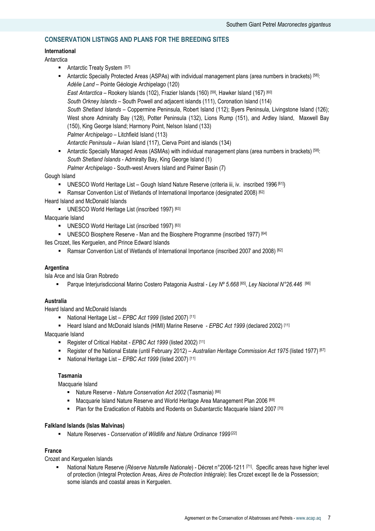# CONSERVATION LISTINGS AND PLANS FOR THE BREEDING SITES

# International

## Antarctica

- Antarctic Treaty System [57]
- Antarctic Specially Protected Areas (ASPAs) with individual management plans (area numbers in brackets) [58]: Adélie Land – Pointe Géologie Archipelago (120) East Antarctica – Rookery Islands (102), Frazier Islands (160) [59], Hawker Island (167) [60] South Orkney Islands – South Powell and adjacent islands (111), Coronation Island (114) South Shetland Islands – Coppermine Peninsula, Robert Island (112); Byers Peninsula, Livingstone Island (126); West shore Admiralty Bay (128), Potter Peninsula (132), Lions Rump (151), and Ardley Island, Maxwell Bay (150), King George Island; Harmony Point, Nelson Island (133) Palmer Archipelago – Litchfield Island (113) Antarctic Peninsula – Avian Island (117), Cierva Point and islands (134) Antarctic Specially Managed Areas (ASMAs) with individual management plans (area numbers in brackets) [58]:

South Shetland Islands - Admiralty Bay, King George Island (1) Palmer Archipelago - South-west Anvers Island and Palmer Basin (7)

## Gough Island

- UNESCO World Heritage List Gough Island Nature Reserve (criteria iii, iv. inscribed 1996 [61])
- Ramsar Convention List of Wetlands of International Importance (designated 2008) [62]
- Heard Island and McDonald Islands
	- UNESCO World Heritage List (inscribed 1997) [63]

Macquarie Island

- UNESCO World Heritage List (inscribed 1997) [63]
- UNESCO Biosphere Reserve Man and the Biosphere Programme (inscribed 1977) [64]

Iles Crozet, Iles Kerguelen, and Prince Edward Islands

**Ramsar Convention List of Wetlands of International Importance (inscribed 2007 and 2008)** [62]

# Argentina

Isla Arce and Isla Gran Robredo

■ Parque Interjurisdiccional Marino Costero Patagonia Austral - Ley Nº 5.668 [65], Ley Nacional N°26.446 [66]

## Australia

Heard Island and McDonald Islands

- National Heritage List EPBC Act 1999 (listed 2007) [11]
- Heard Island and McDonald Islands (HIMI) Marine Reserve  $E$ PBC Act 1999 (declared 2002)  $[11]$

Macquarie Island

- Register of Critical Habitat EPBC Act 1999 (listed 2002) [11]
- Register of the National Estate (until February 2012) Australian Heritage Commission Act 1975 (listed 1977) [67]
- National Heritage List EPBC Act 1999 (listed 2007) [11]

# Tasmania

Macquarie Island

- Nature Reserve Nature Conservation Act 2002 (Tasmania) [68]
- Macquarie Island Nature Reserve and World Heritage Area Management Plan 2006 [69]
- **Plan for the Eradication of Rabbits and Rodents on Subantarctic Macquarie Island 2007** [70]

#### Falkland Islands (Islas Malvinas)

■ Nature Reserves - Conservation of Wildlife and Nature Ordinance 1999<sup>[22]</sup>

#### France

Crozet and Kerguelen Islands

 National Nature Reserve (Réserve Naturelle Nationale) - Décret n°2006-1211 [71]. Specific areas have higher level of protection (Integral Protection Areas, Aires de Protection Intégrale): Iles Crozet except Ile de la Possession; some islands and coastal areas in Kerguelen.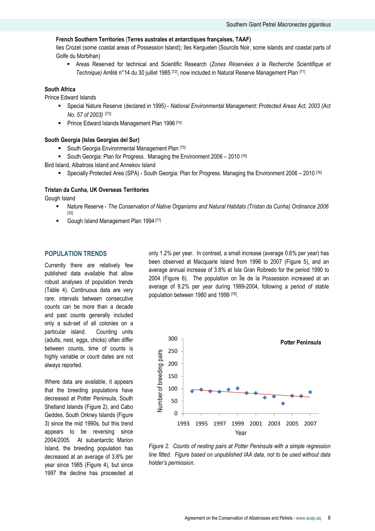## French Southern Territories (Terres australes et antarctiques françaises, TAAF)

Iles Crozet (some coastal areas of Possession Island); Iles Kerguelen (Sourcils Noir, some islands and coastal parts of Golfe du Morbihan)

 Areas Reserved for technical and Scientific Research (Zones Réservées à la Recherche Scientifique et Technique) Arrêté n°14 du 30 juillet 1985 [72], now included in Natural Reserve Management Plan [71].

# South Africa

Prince Edward Islands

- Special Nature Reserve (declared in 1995) National Environmental Management: Protected Areas Act, 2003 (Act No. 57 of 2003) [73]
- **Prince Edward Islands Management Plan 1996 [74]**

#### South Georgia (Islas Georgias del Sur)

- South Georgia Environmental Management Plan [75]
- South Georgia: Plan for Progress. Managing the Environment 2006 2010 [76]

Bird Island, Albatross Island and Annekov Island

Specially Protected Area (SPA) - South Georgia: Plan for Progress. Managing the Environment 2006 – 2010 [76]

## Tristan da Cunha, UK Overseas Territories

Gough Island

- Nature Reserve The Conservation of Native Organisms and Natural Habitats (Tristan da Cunha) Ordinance 2006 [32]
- Gough Island Management Plan 1994 [77]

# POPULATION TRENDS

Currently there are relatively few published data available that allow robust analyses of population trends (Table 4). Continuous data are very rare; intervals between consecutive counts can be more than a decade and past counts generally included only a sub-set of all colonies on a particular island. Counting units (adults, nest, eggs, chicks) often differ between counts, time of counts is highly variable or count dates are not always reported.

Where data are available, it appears that the breeding populations have decreased at Potter Peninsula, South Shetland Islands (Figure 2), and Cabo Geddes, South Orkney Islands (Figure 3) since the mid 1990s, but this trend appears to be reversing since 2004/2005. At subantarctic Marion Island, the breeding population has decreased at an average of 3.8% per year since 1985 (Figure 4), but since 1997 the decline has proceeded at only 1.2% per year. In contrast, a small increase (average 0.6% per year) has been observed at Macquarie Island from 1996 to 2007 (Figure 5), and an average annual increase of 3.8% at Isla Gran Robredo for the period 1990 to 2004 (Figure 6). The population on Île de la Possession increased at an average of 9.2% per year during 1999-2004, following a period of stable population between 1980 and 1999 [78] .



Figure 2. Counts of nesting pairs at Potter Peninsula with a simple regression line fitted. Figure based on unpublished IAA data, not to be used without data holder's permission.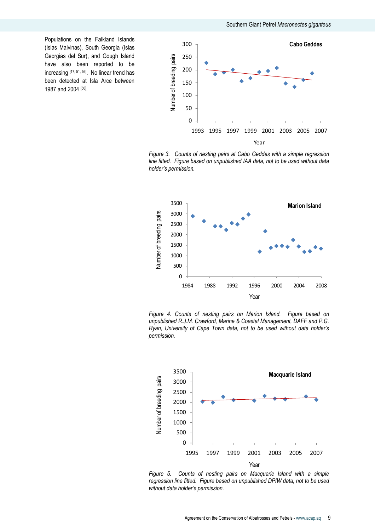Populations on the Falkland Islands (Islas Malvinas), South Georgia (Islas Georgias del Sur), and Gough Island have also been reported to be increasing [47, 51, 56]. No linear trend has been detected at Isla Arce between 1987 and 2004 [50].



Figure 3. Counts of nesting pairs at Cabo Geddes with a simple regression line fitted. Figure based on unpublished IAA data, not to be used without data holder's permission.



Figure 4. Counts of nesting pairs on Marion Island. Figure based on unpublished R.J.M. Crawford, Marine & Coastal Management, DAFF and P.G. Ryan, University of Cape Town data, not to be used without data holder's permission.



Figure 5. Counts of nesting pairs on Macquarie Island with a simple regression line fitted. Figure based on unpublished DPIW data, not to be used without data holder's permission.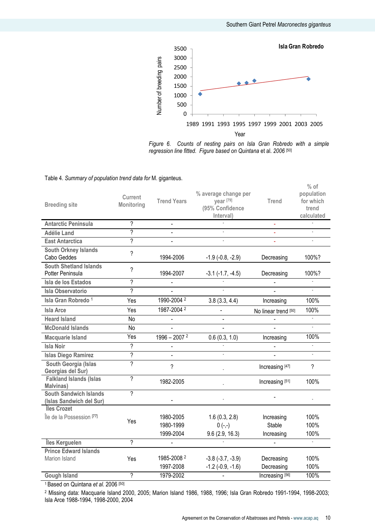

Figure 6. Counts of nesting pairs on Isla Gran Robredo with a simple regression line fitted. Figure based on Quintana et al. 2006 [50]

| <b>Breeding site</b>                                      | Current<br>Monitoring    | <b>Trend Years</b>                  | % average change per<br>year [79]<br>(95% Confidence<br>Interval) | <b>Trend</b>                              | $%$ of<br>population<br>for which<br>trend<br>calculated |
|-----------------------------------------------------------|--------------------------|-------------------------------------|-------------------------------------------------------------------|-------------------------------------------|----------------------------------------------------------|
| <b>Antarctic Peninsula</b>                                | ?                        | $\blacksquare$                      |                                                                   | $\blacksquare$                            |                                                          |
| <b>Adélie Land</b>                                        | 2                        |                                     |                                                                   |                                           |                                                          |
| <b>East Antarctica</b>                                    | 2                        |                                     |                                                                   |                                           |                                                          |
| <b>South Orkney Islands</b><br>Cabo Geddes                | $\overline{?}$           | 1994-2006                           | $-1.9$ ( $-0.8$ , $-2.9$ )                                        | Decreasing                                | 100%?                                                    |
| <b>South Shetland Islands</b><br>Potter Peninsula         | $\gamma$                 | 1994-2007                           | $-3.1$ $(-1.7, -4.5)$                                             | Decreasing                                | 100%?                                                    |
| Isla de los Estados                                       | $\overline{\mathcal{C}}$ |                                     |                                                                   |                                           |                                                          |
| <b>Isla Observatorio</b>                                  | $\gamma$                 |                                     |                                                                   |                                           |                                                          |
| Isla Gran Robredo <sup>1</sup>                            | Yes                      | 1990-2004 <sup>2</sup>              | 3.8(3.3, 4.4)                                                     | Increasing                                | 100%                                                     |
| Isla Arce                                                 | Yes                      | 1987-2004 2                         |                                                                   | No linear trend [50]                      | 100%                                                     |
| <b>Heard Island</b>                                       | No                       |                                     |                                                                   |                                           |                                                          |
| <b>McDonald Islands</b>                                   | No                       |                                     |                                                                   |                                           |                                                          |
| <b>Macquarie Island</b>                                   | Yes                      | $1996 - 20072$                      | 0.6(0.3, 1.0)                                                     | Increasing                                | 100%                                                     |
| <b>Isla Noir</b>                                          | ?                        |                                     |                                                                   |                                           |                                                          |
| <b>Islas Diego Ramirez</b>                                | $\gamma$                 |                                     |                                                                   |                                           |                                                          |
| South Georgia (Islas<br>Georgias del Sur)                 | 2                        | $\gamma$                            |                                                                   | Increasing [47]                           | $\gamma$                                                 |
| <b>Falkland Islands (Islas</b><br>Malvinas)               | $\overline{2}$           | 1982-2005                           |                                                                   | Increasing [51]                           | 100%                                                     |
| <b>South Sandwich Islands</b><br>(Islas Sandwich del Sur) | 2                        |                                     |                                                                   |                                           |                                                          |
| <b>Iles Crozet</b><br>Île de la Possession [77]           | Yes                      | 1980-2005<br>1980-1999<br>1999-2004 | 1.6(0.3, 2.8)<br>$0 (-,-)$<br>9.6(2.9, 16.3)                      | Increasing<br><b>Stable</b><br>Increasing | 100%<br>100%<br>100%                                     |
| Îles Kerguelen                                            | 2                        |                                     |                                                                   |                                           | $\omega$                                                 |
| <b>Prince Edward Islands</b><br>Marion Island             | Yes<br>$\overline{?}$    | 1985-2008 2<br>1997-2008            | $-3.8$ $(-3.7, -3.9)$<br>$-1.2$ ( $-0.9, -1.6$ )                  | Decreasing<br>Decreasing                  | 100%<br>100%                                             |
| <b>Gough Island</b>                                       |                          | 1979-2002                           |                                                                   | Increasing [56]                           | 100%                                                     |

<sup>1</sup> Based on Quintana et al. 2006 [50]

2 Missing data: Macquarie Island 2000, 2005; Marion Island 1986, 1988, 1996; Isla Gran Robredo 1991-1994, 1998-2003; Isla Arce 1988-1994, 1998-2000, 2004

#### Table 4. Summary of population trend data for M. giganteus.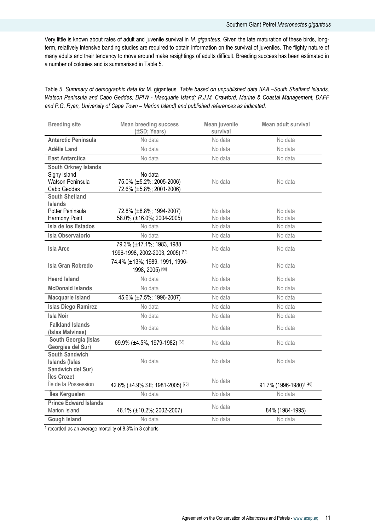Very little is known about rates of adult and juvenile survival in M. giganteus. Given the late maturation of these birds, longterm, relatively intensive banding studies are required to obtain information on the survival of juveniles. The flighty nature of many adults and their tendency to move around make resightings of adults difficult. Breeding success has been estimated in a number of colonies and is summarised in Table 5.

# Table 5. Summary of demographic data for M. giganteus. Table based on unpublished data (IAA –South Shetland Islands, Watson Peninsula and Cabo Geddes; DPIW - Macquarie Island; R.J.M. Crawford, Marine & Coastal Management, DAFF and P.G. Ryan, University of Cape Town – Marion Island) and published references as indicated.

| <b>Breeding site</b>                                                           | <b>Mean breeding success</b><br>(±SD; Years)                    | Mean juvenile<br>Mean adult survival<br>survival |                                     |
|--------------------------------------------------------------------------------|-----------------------------------------------------------------|--------------------------------------------------|-------------------------------------|
| <b>Antarctic Peninsula</b>                                                     | No data                                                         | No data                                          | No data                             |
| <b>Adélie Land</b>                                                             | No data                                                         | No data                                          | No data                             |
| <b>East Antarctica</b>                                                         | No data                                                         | No data                                          | No data                             |
| <b>South Orkney Islands</b><br>Signy Island<br>Watson Peninsula<br>Cabo Geddes | No data<br>75.0% (±5.2%; 2005-2006)<br>72.6% (±5.8%; 2001-2006) | No data                                          | No data                             |
| <b>South Shetland</b><br><b>Islands</b><br>Potter Peninsula<br>Harmony Point   | 72.8% (±8.8%; 1994-2007)<br>58.0% (±16.0%; 2004-2005)           | No data<br>No data                               | No data<br>No data                  |
| Isla de los Estados                                                            | No data                                                         | No data                                          | No data                             |
| <b>Isla Observatorio</b>                                                       | No data                                                         | No data                                          | No data                             |
| <b>Isla Arce</b>                                                               | 79.3% (±17.1%; 1983, 1988,<br>1996-1998, 2002-2003, 2005) [50]  | No data                                          | No data                             |
| Isla Gran Robredo                                                              | 74.4% (±13%; 1989, 1991, 1996-<br>1998, 2005) [50]              | No data                                          | No data                             |
| <b>Heard Island</b>                                                            | No data                                                         | No data                                          | No data                             |
| <b>McDonald Islands</b>                                                        | No data                                                         | No data                                          | No data                             |
| <b>Macquarie Island</b>                                                        | 45.6% (±7.5%; 1996-2007)                                        | No data                                          | No data                             |
| <b>Islas Diego Ramirez</b>                                                     | No data                                                         | No data                                          | No data                             |
| <b>Isla Noir</b>                                                               | No data                                                         | No data                                          | No data                             |
| <b>Falkland Islands</b><br>(Islas Malvinas)                                    | No data                                                         | No data                                          | No data                             |
| South Georgia (Islas<br>Georgias del Sur)                                      | 69.9% (±4.5%, 1979-1982) [38]                                   | No data                                          | No data                             |
| <b>South Sandwich</b><br><b>Islands (Islas</b><br>Sandwich del Sur)            | No data                                                         | No data                                          | No data                             |
| Îles Crozet<br>Île de la Possession                                            | 42.6% (±4.9% SE; 1981-2005) [78]                                | No data                                          | 91.7% (1996-1980) <sup>1</sup> [40] |
| Îles Kerguelen                                                                 | No data                                                         | No data                                          | No data                             |
| <b>Prince Edward Islands</b><br>Marion Island                                  | 46.1% (±10.2%; 2002-2007)                                       | No data                                          | 84% (1984-1995)                     |
| <b>Gough Island</b>                                                            | No data                                                         | No data                                          | No data                             |

1 recorded as an average mortality of 8.3% in 3 cohorts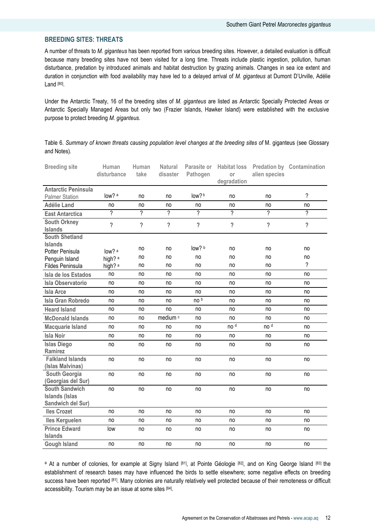# BREEDING SITES: THREATS

A number of threats to M. giganteus has been reported from various breeding sites. However, a detailed evaluation is difficult because many breeding sites have not been visited for a long time. Threats include plastic ingestion, pollution, human disturbance, predation by introduced animals and habitat destruction by grazing animals. Changes in sea ice extent and duration in conjunction with food availability may have led to a delayed arrival of M. giganteus at Dumont D'Urville, Adélie Land <sup>[80]</sup>.

Under the Antarctic Treaty, 16 of the breeding sites of M. giganteus are listed as Antarctic Specially Protected Areas or Antarctic Specially Managed Areas but only two (Frazier Islands, Hawker Island) were established with the exclusive purpose to protect breeding M. giganteus.

Table 6. Summary of known threats causing population level changes at the breeding sites of M. giganteus (see Glossary and Notes).

| <b>Breeding site</b>                                                | Human<br>disturbance | Human<br>take            | <b>Natural</b><br>disaster | Parasite or<br>Pathogen | <b>Habitat loss</b><br>or<br>degradation | alien species   | <b>Predation by Contamination</b> |
|---------------------------------------------------------------------|----------------------|--------------------------|----------------------------|-------------------------|------------------------------------------|-----------------|-----------------------------------|
| <b>Antarctic Peninsula</b>                                          |                      |                          |                            |                         |                                          |                 |                                   |
| <b>Palmer Station</b>                                               | low? a               | no                       | no                         | low?b                   | no                                       | no              | $\overline{?}$                    |
| <b>Adélie Land</b>                                                  | no                   | no                       | no                         | no                      | no                                       | no              | no                                |
| <b>East Antarctica</b>                                              | 7                    | ?                        | ?                          | 2                       | $\gamma$                                 | $\overline{?}$  | $\overline{\phantom{a}}$          |
| <b>South Orkney</b><br><b>Islands</b>                               | ?                    | $\overline{\phantom{a}}$ | ?                          | ?                       | $\overline{\phantom{0}}$                 | ?               | $\overline{\phantom{a}}$          |
| <b>South Shetland</b><br><b>Islands</b>                             |                      |                          |                            |                         |                                          |                 |                                   |
| Potter Penisula                                                     | low? a               | no                       | no                         | low? b                  | no                                       | no              | no                                |
| Penguin Island                                                      | high? <sup>a</sup>   | no                       | no                         | no                      | no                                       | no              | no                                |
| <b>Fildes Peninsula</b>                                             | high? a              | no                       | no                         | no                      | no                                       | no              | $\gamma$                          |
| Isla de los Estados                                                 | no                   | no                       | no                         | no                      | no                                       | no              | no                                |
| <b>Isla Observatorio</b>                                            | no                   | no                       | no                         | no                      | no                                       | no              | no                                |
| <b>Isla Arce</b>                                                    | no                   | no                       | no                         | no                      | no                                       | no              | no                                |
| <b>Isla Gran Robredo</b>                                            | no                   | no                       | no                         | no b                    | no                                       | no              | no                                |
| <b>Heard Island</b>                                                 | no                   | no                       | no                         | no                      | no                                       | no              | no                                |
| <b>McDonald Islands</b>                                             | no                   | no                       | medium <sup>c</sup>        | no                      | no                                       | no              | no                                |
| <b>Macquarie Island</b>                                             | no                   | no                       | no                         | no                      | no <sup>d</sup>                          | no <sup>d</sup> | no                                |
| <b>Isla Noir</b>                                                    | no                   | no                       | no                         | no                      | no                                       | no              | no                                |
| <b>Islas Diego</b><br><b>Ramirez</b>                                | no                   | no                       | no                         | no                      | no                                       | no              | no                                |
| <b>Falkland Islands</b><br>(Islas Malvinas)                         | no                   | no                       | no                         | no                      | no                                       | no              | no                                |
| South Georgia<br>(Georgias del Sur)                                 | no                   | no                       | no                         | no                      | no                                       | no              | no                                |
| <b>South Sandwich</b><br><b>Islands (Islas</b><br>Sandwich del Sur) | no                   | no                       | no                         | no                      | no                                       | no              | no                                |
| <b>Iles Crozet</b>                                                  | no                   | no                       | no                         | no                      | no                                       | no              | no                                |
| <b>Iles Kerguelen</b>                                               | no                   | no                       | no                         | no                      | no                                       | no              | no                                |
| <b>Prince Edward</b><br><b>Islands</b>                              | low                  | no                       | no                         | no                      | no                                       | no              | no                                |
| <b>Gough Island</b>                                                 | no                   | no                       | no                         | no                      | no                                       | no              | no                                |

a At a number of colonies, for example at Signy Island [81], at Pointe Géologie [82], and on King George Island [83] the establishment of research bases may have influenced the birds to settle elsewhere; some negative effects on breeding success have been reported [81]. Many colonies are naturally relatively well protected because of their remoteness or difficult accessibility. Tourism may be an issue at some sites [84].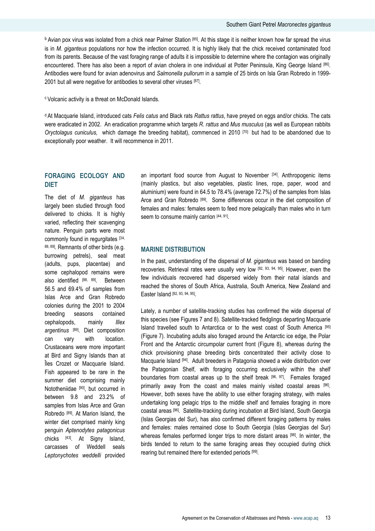<sup>b</sup> Avian pox virus was isolated from a chick near Palmer Station [85]. At this stage it is neither known how far spread the virus is in M. giganteus populations nor how the infection occurred. It is highly likely that the chick received contaminated food from its parents. Because of the vast foraging range of adults it is impossible to determine where the contagion was originally encountered. There has also been a report of avian cholera in one individual at Potter Peninsula, King George Island [86]. Antibodies were found for avian adenovirus and Salmonella pullorum in a sample of 25 birds on Isla Gran Robredo in 1999-2001 but all were negative for antibodies to several other viruses [87] *.* 

<sup>c</sup> Volcanic activity is a threat on McDonald Islands.

<sup>d</sup> At Macquarie Island, introduced cats Felis catus and Black rats Rattus rattus, have preyed on eggs and/or chicks. The cats were eradicated in 2002. An eradication programme which targets R. rattus and Mus musculus (as well as European rabbits Oryctolagus cuniculus, which damage the breeding habitat), commenced in 2010  $[70]$  but had to be abandoned due to exceptionally poor weather. It will recommence in 2011.

# FORAGING ECOLOGY AND DIET

The diet of M. giganteus has largely been studied through food delivered to chicks. It is highly varied, reflecting their scavenging nature. Penguin parts were most commonly found in regurgitates [34, 88, 89]. Remnants of other birds (e.g. burrowing petrels), seal meat (adults, pups, placentae) and some cephalopod remains were also identified [88, 89]. Between 56.5 and 69.4% of samples from Islas Arce and Gran Robredo colonies during the 2001 to 2004 breeding seasons contained cephalopods, mainly *Illex* argentinus [89]. Diet composition can vary with location. Crustaceans were more important at Bird and Signy Islands than at Îles Crozet or Macquarie Island. Fish appeared to be rare in the summer diet comprising mainly Nototheniidae [90], but occurred in between 9.8 and 23.2% of samples from Islas Arce and Gran Robredo [89]. At Marion Island, the winter diet comprised mainly king penguin Aptenodytes patagonicus chicks [43]. At Signy Island, carcasses of Weddell seals Leptonychotes weddelli provided

an important food source from August to November [34]. Anthropogenic items (mainly plastics, but also vegetables, plastic lines, rope, paper, wood and aluminium) were found in 64.5 to 78.4% (average 72.7%) of the samples from Islas Arce and Gran Robredo [89]. Some differences occur in the diet composition of females and males: females seem to feed more pelagically than males who in turn seem to consume mainly carrion [44, 91].

## MARINE DISTRIBUTION

In the past, understanding of the dispersal of M. giganteus was based on banding recoveries. Retrieval rates were usually very low [92, 93, 94, 95]. However, even the few individuals recovered had dispersed widely from their natal islands and reached the shores of South Africa, Australia, South America, New Zealand and Easter Island [92, 93, 94, 95].

Lately, a number of satellite-tracking studies has confirmed the wide dispersal of this species (see Figures 7 and 8). Satellite-tracked fledglings departing Macquarie Island travelled south to Antarctica or to the west coast of South America [95] (Figure 7). Incubating adults also foraged around the Antarctic ice edge, the Polar Front and the Antarctic circumpolar current front (Figure 8), whereas during the chick provisioning phase breeding birds concentrated their activity close to Macquarie Island [94]. Adult breeders in Patagonia showed a wide distribution over the Patagonian Shelf, with foraging occurring exclusively within the shelf boundaries from coastal areas up to the shelf break [96, 97]. Females foraged primarily away from the coast and males mainly visited coastal areas <sup>[96]</sup>. However, both sexes have the ability to use either foraging strategy, with males undertaking long pelagic trips to the middle shelf and females foraging in more coastal areas [96]. Satellite-tracking during incubation at Bird Island, South Georgia (Islas Georgias del Sur), has also confirmed different foraging patterns by males and females: males remained close to South Georgia (Islas Georgias del Sur) whereas females performed longer trips to more distant areas [98]. In winter, the birds tended to return to the same foraging areas they occupied during chick rearing but remained there for extended periods [99].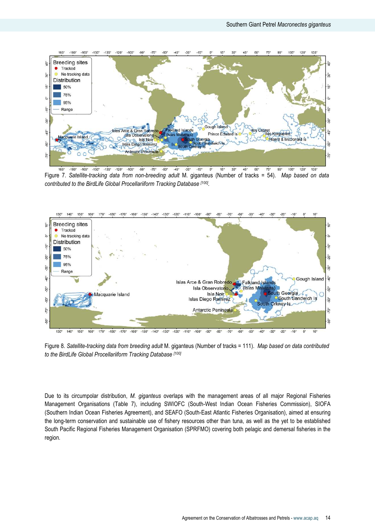

 $-150^\circ$  $-135^{\circ}$  $-120^{\circ} -105^{\circ}$  $-90^\circ$  $-45^\circ$  $-180$  $-165^\circ$  $-75^{\circ}$  $-60^\circ$  $-30^\circ$  $-15^\circ$  $0^{\circ}$  $15^\circ$  $30^{\circ}$  $45^\circ$ 60  $90^{\circ}$  $105^\circ$  $120^\circ$ 135 Figure 7. Satellite-tracking data from non-breeding adult M. giganteus (Number of tracks = 54). Map based on data contributed to the BirdLife Global Procellariiform Tracking Database [100].



Figure 8. Satellite-tracking data from breeding adult M. giganteus (Number of tracks = 111). Map based on data contributed to the BirdLife Global Procellariiform Tracking Database [100]

Due to its circumpolar distribution, M. giganteus overlaps with the management areas of all major Regional Fisheries Management Organisations (Table 7), including SWIOFC (South-West Indian Ocean Fisheries Commission), SIOFA (Southern Indian Ocean Fisheries Agreement), and SEAFO (South-East Atlantic Fisheries Organisation), aimed at ensuring the long-term conservation and sustainable use of fishery resources other than tuna, as well as the yet to be established South Pacific Regional Fisheries Management Organisation (SPRFMO) covering both pelagic and demersal fisheries in the region.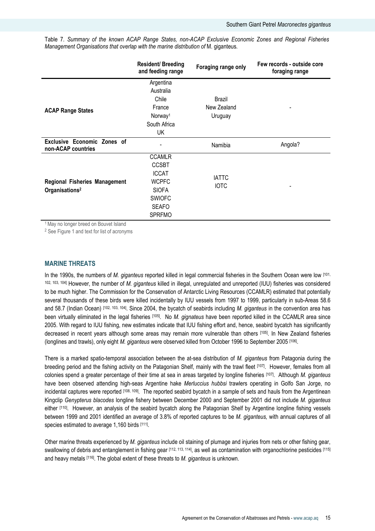Table 7. Summary of the known ACAP Range States, non-ACAP Exclusive Economic Zones and Regional Fisheries Management Organisations that overlap with the marine distribution of M. giganteus.

|                                                                    | <b>Resident/Breeding</b><br>and feeding range                                                                            | Foraging range only              | Few records - outside core<br>foraging range |
|--------------------------------------------------------------------|--------------------------------------------------------------------------------------------------------------------------|----------------------------------|----------------------------------------------|
| <b>ACAP Range States</b>                                           | Argentina<br>Australia<br>Chile<br>France<br>Norway <sup>1</sup><br>South Africa<br>UK                                   | Brazil<br>New Zealand<br>Uruguay |                                              |
| Exclusive Economic Zones of<br>non-ACAP countries                  |                                                                                                                          | Namibia                          | Angola?                                      |
| <b>Regional Fisheries Management</b><br>Organisations <sup>2</sup> | <b>CCAMLR</b><br><b>CCSBT</b><br><b>ICCAT</b><br>WCPFC<br><b>SIOFA</b><br><b>SWIOFC</b><br><b>SEAFO</b><br><b>SPRFMO</b> | <b>IATTC</b><br><b>IOTC</b>      |                                              |

<sup>1</sup> May no longer breed on Bouvet Island

<sup>2</sup> See Figure 1 and text for list of acronyms

#### MARINE THREATS

In the 1990s, the numbers of M. giganteus reported killed in legal commercial fisheries in the Southern Ocean were low [101, 102, 103, 104] However, the number of M. giganteus killed in illegal, unregulated and unreported (IUU) fisheries was considered to be much higher. The Commission for the Conservation of Antarctic Living Resources (CCAMLR) estimated that potentially several thousands of these birds were killed incidentally by IUU vessels from 1997 to 1999, particularly in sub-Areas 58.6 and 58.7 (Indian Ocean) [102, 103, 104]. Since 2004, the bycatch of seabirds including M. giganteus in the convention area has been virtually eliminated in the legal fisheries [105]. No M. gignateus have been reported killed in the CCAMLR area since 2005. With regard to IUU fishing, new estimates indicate that IUU fishing effort and, hence, seabird bycatch has significantly decreased in recent years although some areas may remain more vulnerable than others [105]. In New Zealand fisheries (longlines and trawls), only eight *M. giganteus* were observed killed from October 1996 to September 2005 <sup>[106]</sup>.

There is a marked spatio-temporal association between the at-sea distribution of M. giganteus from Patagonia during the breeding period and the fishing activity on the Patagonian Shelf, mainly with the trawl fleet [107]. However, females from all colonies spend a greater percentage of their time at sea in areas targeted by longline fisheries  $[107]$ . Although M. giganteus have been observed attending high-seas Argentine hake Merluccius hubbsi trawlers operating in Golfo San Jorge, no incidental captures were reported [108, 109]. The reported seabird bycatch in a sample of sets and hauls from the Argentinean Kingclip Genypterus blacodes longline fishery between December 2000 and September 2001 did not include M. giganteus either [110]. However, an analysis of the seabird bycatch along the Patagonian Shelf by Argentine longline fishing vessels between 1999 and 2001 identified an average of 3.8% of reported captures to be M. giganteus, with annual captures of all species estimated to average 1,160 birds [111].

Other marine threats experienced by M. giganteus include oil staining of plumage and injuries from nets or other fishing gear, swallowing of debris and entanglement in fishing gear [112, 113, 114], as well as contamination with organochlorine pesticides [115] and heavy metals [116]. The global extent of these threats to M. giganteus is unknown.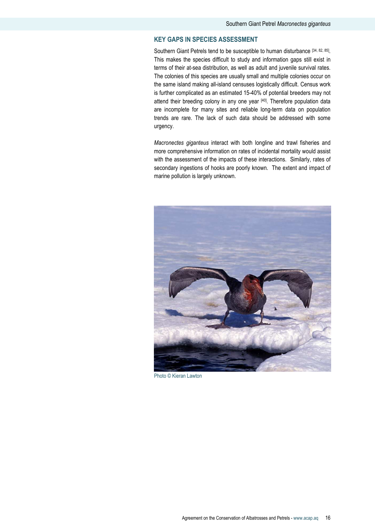# KEY GAPS IN SPECIES ASSESSMENT

Southern Giant Petrels tend to be susceptible to human disturbance [34, 82, 85]. This makes the species difficult to study and information gaps still exist in terms of their at-sea distribution, as well as adult and juvenile survival rates. The colonies of this species are usually small and multiple colonies occur on the same island making all-island censuses logistically difficult. Census work is further complicated as an estimated 15-40% of potential breeders may not attend their breeding colony in any one year [40]. Therefore population data are incomplete for many sites and reliable long-term data on population trends are rare. The lack of such data should be addressed with some urgency.

Macronectes giganteus interact with both longline and trawl fisheries and more comprehensive information on rates of incidental mortality would assist with the assessment of the impacts of these interactions. Similarly, rates of secondary ingestions of hooks are poorly known. The extent and impact of marine pollution is largely unknown.



Photo © Kieran Lawton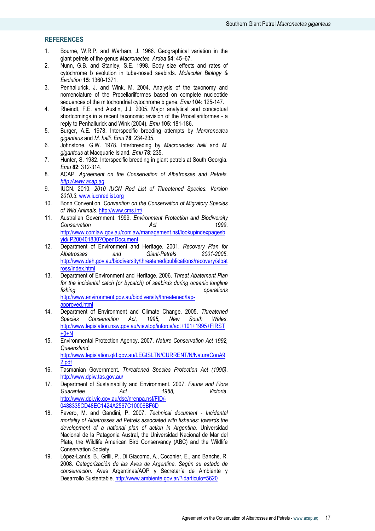# **REFERENCES**

- 1. Bourne, W.R.P. and Warham, J. 1966. Geographical variation in the giant petrels of the genus Macronectes. Ardea 54: 45–67.
- 2. Nunn, G.B. and Stanley, S.E. 1998. Body size effects and rates of cytochrome b evolution in tube-nosed seabirds. Molecular Biology & Evolution 15: 1360-1371.
- 3. Penhallurick, J. and Wink, M. 2004. Analysis of the taxonomy and nomenclature of the Procellariiformes based on complete nucleotide sequences of the mitochondrial cytochrome b gene. Emu 104: 125-147.
- 4. Rheindt, F.E. and Austin, J.J. 2005. Major analytical and conceptual shortcomings in a recent taxonomic revision of the Procellariiformes - a reply to Penhallurick and Wink (2004). Emu 105: 181-186.
- 5. Burger, A.E. 1978. Interspecific breeding attempts by Marcronectes giganteus and M. halli. Emu 78: 234-235.
- 6. Johnstone, G.W. 1978. Interbreeding by Macronectes halli and M. giganteus at Macquarie Island. Emu 78: 235.
- 7. Hunter, S. 1982. Interspecific breeding in giant petrels at South Georgia. Emu 82: 312-314.
- 8. ACAP. Agreement on the Conservation of Albatrosses and Petrels. http://www.acap.aq.
- 9. **IUCN. 2010. 2010 IUCN Red List of Threatened Species. Version** 2010.3. www.iucnredlist.org
- 10. Bonn Convention. Convention on the Conservation of Migratory Species of Wild Animals. http://www.cms.int/
- 11. Australian Government. 1999. Environment Protection and Biodiversity Conservation **Act** 1999. http://www.comlaw.gov.au/comlaw/management.nsf/lookupindexpagesb yid/IP200401830?OpenDocument
- 12. Department of Environment and Heritage. 2001. Recovery Plan for Albatrosses and Giant-Petrels 2001-2005. http://www.deh.gov.au/biodiversity/threatened/publications/recovery/albat ross/index.html
- 13. Department of Environment and Heritage. 2006. Threat Abatement Plan for the incidental catch (or bycatch) of seabirds during oceanic longline fishing operations operations http://www.environment.gov.au/biodiversity/threatened/tapapproved.html
- 14. Department of Environment and Climate Change. 2005. Threatened Species Conservation Act, 1995, New South Wales. http://www.legislation.nsw.gov.au/viewtop/inforce/act+101+1995+FIRST  $+0+N$
- 15. Environmental Protection Agency. 2007. Nature Conservation Act 1992, Queensland. http://www.legislation.qld.gov.au/LEGISLTN/CURRENT/N/NatureConA9 2.pdf
- 16. Tasmanian Government. Threatened Species Protection Act (1995). http://www.dpiw.tas.gov.au/
- 17. Department of Sustainability and Environment. 2007. Fauna and Flora Guarantee **Act** 1988. Victoria. http://www.dpi.vic.gov.au/dse/nrenpa.nsf/FID/- 0488335CD48EC1424A2567C10006BF6D
- 18. Favero, M. and Gandini, P. 2007. Technical document Incidental mortality of Albatrosses ad Petrels associated with fisheries: towards the development of a national plan of action in Argentina. Universidad Nacional de la Patagonia Austral, the Universidad Nacional de Mar del Plata, the Wildlife American Bird Conservancy (ABC) and the Wildlife Conservation Society.
- 19. López-Lanús, B., Grilli, P., Di Giacomo, A., Coconier, E., and Banchs, R. 2008. Categorización de las Aves de Argentina. Según su estado de conservación. Aves Argentinas/AOP y Secretaría de Ambiente y Desarrollo Sustentable. http://www.ambiente.gov.ar/?idarticulo=5620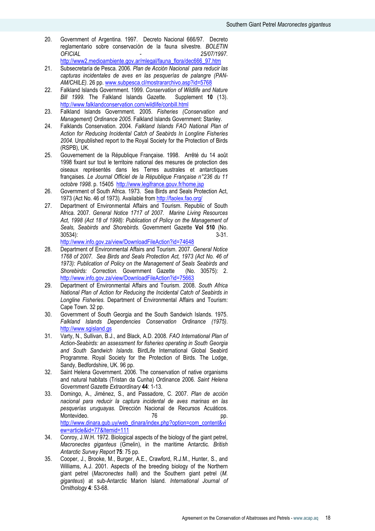20. Government of Argentina. 1997. Decreto Nacional 666/97. Decreto reglamentario sobre conservación de la fauna silvestre. BOLETIN OFICIAL - 25/07/1997. http://www2.medioambiente.gov.ar/mlegal/fauna\_flora/dec666\_97.htm

- 21. Subsecretaría de Pesca. 2006. Plan de Acción Nacional para reducir las capturas incidentales de aves en las pesquerías de palangre (PAN-AM/CHILE). 26 pp. www.subpesca.cl/mostrararchivo.asp?id=5768
- 22. Falkland Islands Government. 1999. Conservation of Wildlife and Nature Bill 1999. The Falkland Islands Gazette. Supplement 10 (13). http://www.falklandconservation.com/wildlife/conbill.html
- 23. Falkland Islands Government. 2005. Fisheries (Conservation and Management) Ordinance 2005. Falkland Islands Government: Stanley.
- 24. Falklands Conservation. 2004. Falkland Islands FAO National Plan of Action for Reducing Incidental Catch of Seabirds In Longline Fisheries 2004. Unpublished report to the Royal Society for the Protection of Birds (RSPB), UK.
- 25. Gouvernement de la République Française. 1998. Arrêté du 14 août 1998 fixant sur tout le territoire national des mesures de protection des oiseaux représentés dans les Terres australes et antarctiques françaises. Le Journal Officiel de la République Française n°236 du 11 octobre 1998. p. 15405 http://www.legifrance.gouv.fr/home.jsp
- 26. Government of South Africa. 1973. Sea Birds and Seals Protection Act, 1973 (Act No. 46 of 1973). Available from http://faolex.fao.org/
- 27. Department of Environmental Affairs and Tourism. Republic of South Africa. 2007. General Notice 1717 of 2007. Marine Living Resources Act, 1998 (Act 18 of 1998): Publication of Policy on the Management of Seals, Seabirds and Shorebirds. Government Gazette Vol 510 (No. 30534): 3-31.

http://www.info.gov.za/view/DownloadFileAction?id=74648

- 28. Department of Environmental Affairs and Tourism. 2007. General Notice 1768 of 2007. Sea Birds and Seals Protection Act, 1973 (Act No. 46 of 1973): Publication of Policy on the Management of Seals Seabirds and Shorebirds: Correction. Government Gazette (No. 30575): 2. http://www.info.gov.za/view/DownloadFileAction?id=75663
- 29. Department of Environmental Affairs and Tourism. 2008. South Africa National Plan of Action for Reducing the Incidental Catch of Seabirds in Longline Fisheries. Department of Environmental Affairs and Tourism: Cape Town. 32 pp.
- 30. Government of South Georgia and the South Sandwich Islands. 1975. Falkland Islands Dependencies Conservation Ordinance (1975). http://www.sgisland.gs
- 31. Varty, N., Sullivan, B.J., and Black, A.D. 2008. FAO International Plan of Action-Seabirds: an assessment for fisheries operating in South Georgia and South Sandwich Islands. BirdLife International Global Seabird Programme. Royal Society for the Protection of Birds. The Lodge, Sandy, Bedfordshire, UK. 96 pp.
- 32. Saint Helena Government. 2006. The conservation of native organisms and natural habitats (Tristan da Cunha) Ordinance 2006. Saint Helena Government Gazette Extraordinary 44: 1-13.
- 33. Domingo, A., Jiménez, S., and Passadore, C. 2007. Plan de acción nacional para reducir la captura incidental de aves marinas en las pesquerías uruguayas. Dirección Nacional de Recursos Acuáticos. Montevideo. 76 pp. http://www.dinara.gub.uy/web\_dinara/index.php?option=com\_content&vi ew=article&id=77&Itemid=111
- 34. Conroy, J.W.H. 1972. Biological aspects of the biology of the giant petrel, Macronectes giganteus (Gmelin), in the maritime Antarctic. British Antarctic Survey Report 75: 75 pp.
- 35. Cooper, J., Brooke, M., Burger, A.E., Crawford, R.J.M., Hunter, S., and Williams, A.J. 2001. Aspects of the breeding biology of the Northern giant petrel (Macronectes halli) and the Southern giant petrel (M. giganteus) at sub-Antarctic Marion Island. International Journal of Ornithology 4: 53-68.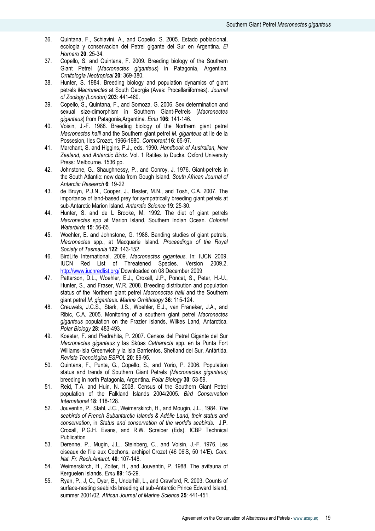- 36. Quintana, F., Schiavini, A., and Copello, S. 2005. Estado poblacional, ecologia y conservacion del Petrel gigante del Sur en Argentina. El Hornero 20: 25-34.
- 37. Copello, S. and Quintana, F. 2009. Breeding biology of the Southern Giant Petrel (Macronectes giganteus) in Patagonia, Argentina. Ornitología Neotropical 20: 369-380.
- 38. Hunter, S. 1984. Breeding biology and population dynamics of giant petrels Macronectes at South Georgia (Aves: Procellariiformes). Journal of Zoology (London) 203: 441-460.
- 39. Copello, S., Quintana, F., and Somoza, G. 2006. Sex determination and sexual size-dimorphism in Southern Giant-Petrels (Macronectes giganteus) from Patagonia, Argentina. Emu 106: 141-146.
- 40. Voisin, J.-F. 1988. Breeding biology of the Northern giant petrel Macronectes halli and the Southern giant petrel M. giganteus at Ile de la Possesion, Iles Crozet, 1966-1980. Cormorant 16: 65-97.
- 41. Marchant, S. and Higgins, P.J., eds. 1990. Handbook of Australian, New Zealand, and Antarctic Birds. Vol. 1 Ratites to Ducks. Oxford University Press: Melbourne. 1536 pp.
- 42. Johnstone, G., Shaughnessy, P., and Conroy, J. 1976. Giant-petrels in the South Atlantic: new data from Gough Island. South African Journal of Antarctic Research 6: 19-22
- 43. de Bruyn, P.J.N., Cooper, J., Bester, M.N., and Tosh, C.A. 2007. The importance of land-based prey for sympatrically breeding giant petrels at sub-Antarctic Marion Island. Antarctic Science 19: 25-30.
- 44. Hunter, S. and de L Brooke, M. 1992. The diet of giant petrels Macronectes spp at Marion Island, Southern Indian Ocean. Colonial Waterbirds 15: 56-65.
- 45. Woehler, E. and Johnstone, G. 1988. Banding studies of giant petrels, Macronectes spp., at Macquarie Island. Proceedings of the Royal Society of Tasmania 122: 143-152.
- 46. BirdLife International. 2009. Macronectes giganteus. In: IUCN 2009. IUCN Red List of Threatened Species. Version 2009.2. http://www.iucnredlist.org/ Downloaded on 08 December 2009
- 47. Patterson, D.L., Woehler, E.J., Croxall, J.P., Poncet, S., Peter, H.-U., Hunter, S., and Fraser, W.R. 2008. Breeding distribution and population status of the Northern giant petrel Macronectes halli and the Southern giant petrel M. giganteus. Marine Ornithology 36: 115-124.
- 48. Creuwels, J.C.S., Stark, J.S., Woehler, E.J., van Franeker, J.A., and Ribic, C.A. 2005. Monitoring of a southern giant petrel Macronectes giganteus population on the Frazier Islands, Wilkes Land, Antarctica. Polar Biology 28: 483-493.
- 49. Koester, F. and Piedrahita, P. 2007. Censos del Petrel Gigante del Sur Macronectes giganteus y las Skúas Catharacta spp. en la Punta Fort Williams-Isla Greenwich y la Isla Barrientos, Shetland del Sur, Antártida. Revista Tecnológica ESPOL 20: 89-95.
- 50. Quintana, F., Punta, G., Copello, S., and Yorio, P. 2006. Population status and trends of Southern Giant Petrels (Macronectes giganteus) breeding in north Patagonia, Argentina. Polar Biology 30: 53-59.
- 51. Reid, T.A. and Huin, N. 2008. Census of the Southern Giant Petrel population of the Falkland Islands 2004/2005. Bird Conservation International 18: 118-128.
- 52. Jouventin, P., Stahl, J.C., Weimerskirch, H., and Mougin, J.L., 1984. The seabirds of French Subantarctic Islands & Adélie Land, their status and conservation, in Status and conservation of the world's seabirds. J.P. Croxall, P.G.H. Evans, and R.W. Screiber (Eds). ICBP Technical Publication
- 53. Derenne, P., Mugin, J.L., Steinberg, C., and Voisin, J.-F. 1976. Les oiseaux de I'ile aux Cochons, archipel Crozet (46 06'S, 50 14'E). Com. Nat. Fr. Rech.Antarct. 40: 107-148.
- 54. Weimerskirch, H., Zoiter, H., and Jouventin, P. 1988. The avifauna of Kerguelen Islands. Emu 89: 15-29.
- 55. Ryan, P., J, C., Dyer, B., Underhill, L., and Crawford, R. 2003. Counts of surface-nesting seabirds breeding at sub-Antarctic Prince Edward Island, summer 2001/02. African Journal of Marine Science 25: 441-451.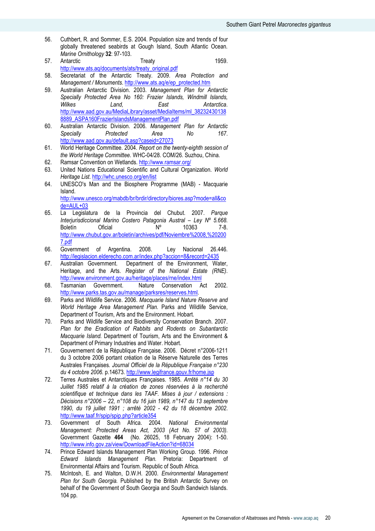- 56. Cuthbert, R. and Sommer, E.S. 2004. Population size and trends of four globally threatened seabirds at Gough Island, South Atlantic Ocean. Marine Ornithology 32: 97-103.
- 57. Antarctic **Treaty** Treaty 1959. http://www.ats.aq/documents/ats/treaty\_original.pdf
- 58. Secretariat of the Antarctic Treaty. 2009. Area Protection and Management / Monuments. http://www.ats.aq/e/ep\_protected.htm
- 59. Australian Antarctic Division. 2003. Management Plan for Antarctic Specially Protected Area No 160: Frazier Islands, Windmill Islands, Wilkes **Land**, **East** Antarctica. http://www.aad.gov.au/MediaLibrary/asset/MediaItems/ml\_38232430138 8889\_ASPA160FrazierIslandsManagementPlan.pdf
- 60. Australian Antarctic Division. 2006. Management Plan for Antarctic Specially Protected Area No 167. http://www.aad.gov.au/default.asp?caseid=27073
- 61. World Heritage Committee. 2004. Report on the twenty-eighth session of the World Heritage Committee. WHC-04/28. COM/26. Suzhou, China.
- 62. Ramsar Convention on Wetlands. http://www.ramsar.org/
- 63. United Nations Educational Scientific and Cultural Organization. World Heritage List. http://whc.unesco.org/en/list
- 64. UNESCO's Man and the Biosphere Programme (MAB) Macquarie Island.

http://www.unesco.org/mabdb/br/brdir/directory/biores.asp?mode=all&co  $de=ALU+03$ 

- 65. La Legislatura de la Provincia del Chubut. 2007. Parque Interjurisdiccional Marino Costero Patagonia Austral – Ley Nº 5.668. Boletín Oficial Nº 10363 7-8. http://www.chubut.gov.ar/boletin/archives/pdf/Noviembre%2008,%20200 7.pdf
- 66. Government of Argentina. 2008. Ley Nacional 26.446. http://legislacion.elderecho.com.ar/index.php?accion=8&record=2435
- 67. Australian Government. Department of the Environment, Water, Heritage, and the Arts. Register of the National Estate (RNE). http://www.environment.gov.au/heritage/places/rne/index.html
- 68. Tasmanian Government. Nature Conservation Act 2002. http://www.parks.tas.gov.au/manage/parksres/reserves.html.
- 69. Parks and Wildlife Service. 2006. Macquarie Island Nature Reserve and World Heritage Area Management Plan. Parks and Wildlife Service, Department of Tourism, Arts and the Environment. Hobart.
- 70. Parks and Wildlife Service and Biodiversity Conservation Branch. 2007. Plan for the Eradication of Rabbits and Rodents on Subantarctic Macquarie Island. Department of Tourism. Arts and the Environment & Department of Primary Industries and Water. Hobart.
- 71. Gouvernement de la République Française. 2006. Décret n°2006-1211 du 3 octobre 2006 portant création de la Réserve Naturelle des Terres Australes Françaises. Journal Officiel de la République Française n°230 du 4 octobre 2006. p.14673. http://www.legifrance.gouv.fr/home.jsp
- 72. Terres Australes et Antarctiques Françaises. 1985. Arrêté n°14 du 30 Juillet 1985 relatif à la création de zones réservées à la recherché scientifique et technique dans les TAAF. Mises à jour / extensions : Décisions n°2006 – 22, n°108 du 16 juin 1989, n°147 du 13 septembre 1990, du 19 juillet 1991 ; arrêté 2002 - 42 du 18 décembre 2002. http://www.taaf.fr/spip/spip.php?article354
- 73. Government of South Africa. 2004. National Environmental Management: Protected Areas Act, 2003 (Act No. 57 of 2003). Government Gazette 464 (No. 26025, 18 February 2004): 1-50. http://www.info.gov.za/view/DownloadFileAction?id=68034
- 74. Prince Edward Islands Management Plan Working Group. 1996. Prince Edward Islands Management Plan. Pretoria: Department of Environmental Affairs and Tourism. Republic of South Africa.
- 75. McIntosh, E. and Walton, D.W.H. 2000. Environmental Management Plan for South Georgia. Published by the British Antarctic Survey on behalf of the Government of South Georgia and South Sandwich Islands. 104 pp.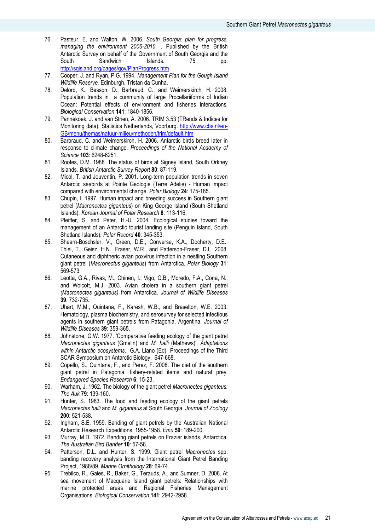- 76. Pasteur, E. and Walton, W. 2006. South Georgia: plan for progress, managing the environment 2006-2010. . Published by the British Antarctic Survey on behalf of the Government of South Georgia and the South Sandwich Islands. 75 pp. http://sgisland.org/pages/gov/PlanProgress.htm
- 77. Cooper, J. and Ryan, P.G. 1994. Management Plan for the Gough Island Wildlife Reserve. Edinburgh, Tristan da Cunha.
- 78. Delord, K., Besson, D., Barbraud, C., and Weimerskirch, H. 2008. Population trends in a community of large Procellariiforms of Indian Ocean: Potential effects of environment and fisheries interactions. Biological Conservation 141: 1840-1856.
- 79. Pannekoek, J. and van Strien, A. 2006. TRIM 3.53 (TRends & Indices for Monitoring data). Statistics Netherlands, Voorburg. http://www.cbs.nl/en-GB/menu/themas/natuur-milieu/methoden/trim/default.htm
- 80. Barbraud, C. and Weimerskirch, H. 2006. Antarctic birds breed later in response to climate change. Proceedings of the National Academy of Science 103: 6248-6251.
- 81. Rootes, D.M. 1988. The status of birds at Signey Island, South Orkney Islands. British Antarctic Survey Report 80: 87-119.
- 82. Micol, T. and Jouventin, P. 2001. Long-term population trends in seven Antarctic seabirds at Pointe Geologie (Terre Adelie) - Human impact compared with environmental change. Polar Biology 24: 175-185.
- 83. Chupin, I. 1997. Human impact and breeding success in Southern giant petrel (Macronectes giganteus) on King George Island (South Shetland Islands). Korean Journal of Polar Research 8: 113-116.
- 84. Pfeiffer, S. and Peter, H.-U. 2004. Ecological studies toward the management of an Antarctic tourist landing site (Penguin Island, South Shetland Islands). Polar Record 40: 345-353.
- 85. Shearn-Boschsler, V., Green, D.E., Converse, K.A., Docherty, D.E., Thiel, T., Geisz, H.N., Fraser, W.R., and Patterson-Fraser, D.L. 2008. Cutaneous and diphtheric avian poxvirus infection in a nestling Southern giant petrel (Macronectus giganteus) from Antarctica. Polar Biology 31: 569-573.
- 86. Leotta, G.A., Rivas, M., Chinen, I., Vigo, G.B., Moredo, F.A., Coria, N., and Wolcott, M.J. 2003. Avian cholera in a southern giant petrel (Macronectes giganteus) from Antarctica. Journal of Wildlife Diseases 39: 732-735.
- 87. Uhart, M.M., Quintana, F., Karesh, W.B., and Braselton, W.E. 2003. Hematology, plasma biochemistry, and serosurvey for selected infectious agents in southern giant petrels from Patagonia, Argentina. Journal of Wildlife Diseases 39: 359-365.
- 88. Johnstone, G.W. 1977. 'Comparative feeding ecology of the giant petrel Macronectes giganteus (Gmelin) and M. halli (Mathews)'. Adaptations within Antarctic ecosystems. G.A. Llano (Ed) Proceedings of the Third SCAR Symposium on Antarctic Biology. 647-668.
- 89. Copello, S., Quintana, F., and Perez, F. 2008. The diet of the southern giant petrel in Patagonia: fishery-related items and natural prey. Endangered Species Research 6: 15-23.
- 90. Warham, J. 1962. The biology of the giant petrel Macronectes giganteus. The Auk 79: 139-160.
- 91. Hunter, S. 1983. The food and feeding ecology of the giant petrels Macronectes halli and M. giganteus at South Georgia. Journal of Zoology 200: 521-538.
- 92. Ingham, S.E. 1959. Banding of giant petrels by the Australian National Antarctic Research Expeditions, 1955-1958. Emu 59: 189-200.
- 93. Murray, M.D. 1972. Banding giant petrels on Frazier islands, Antarctica. The Australian Bird Bander 10: 57-58.
- 94. Patterson, D.L. and Hunter, S. 1999. Giant petrel Macronectes spp. banding recovery analysis from the International Giant Petrel Banding Project, 1988/89. Marine Ornithology 28: 69-74.
- 95. Trebilco, R., Gales, R., Baker, G., Terauds, A., and Sumner, D. 2008. At sea movement of Macquarie Island giant petrels: Relationships with marine protected areas and Regional Fisheries Management Organisations. Biological Conservation 141: 2942-2958.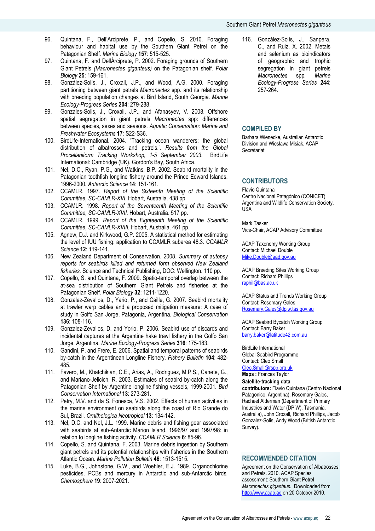- 96. Quintana, F., Dell'Arciprete, P., and Copello, S. 2010. Foraging behaviour and habitat use by the Southern Giant Petrel on the Patagonian Shelf. Marine Biology 157: 515-525.
- 97. Quintana, F. and DellÁrciprete, P. 2002. Foraging grounds of Southern Giant Petrels (Macronectes giganteus) on the Patagonian shelf. Polar Biology 25: 159-161.
- 98. González-Solís, J., Croxall, J.P., and Wood, A.G. 2000. Foraging partitioning between giant petrels Macronectes spp. and its relationship with breeding population changes at Bird Island, South Georgia. Marine Ecology-Progress Series 204: 279-288.
- 99. Gonzales-Solis, J., Croxall, J.P., and Afanasyev, V. 2008. Offshore spatial segregation in giant petrels Macronectes spp: differences between species, sexes and seasons. Aquatic Conservation: Marine and Freshwater Ecosystems 17: S22-S36.
- 100. BirdLife-International. 2004. 'Tracking ocean wanderers: the global distribution of albatrosses and petrels.'. Results from the Global Procellariiform Tracking Workshop, 1-5 September 2003. BirdLife International: Cambridge (UK). Gordon's Bay, South Africa.
- 101. Nel, D.C., Ryan, P.G., and Watkins, B.P. 2002. Seabird mortality in the Patagonian toothfish longline fishery around the Prince Edward Islands, 1996-2000. Antarctic Science 14: 151-161.
- 102. CCAMLR. 1997. Report of the Sixteenth Meeting of the Scientific Committee, SC-CAMLR-XVI. Hobart, Australia. 438 pp.
- 103. CCAMLR. 1998. Report of the Seventeenth Meeting of the Scientific Committee, SC-CAMLR-XVII. Hobart, Australia. 517 pp.
- 104. CCAMLR. 1999. Report of the Eighteenth Meeting of the Scientific Committee, SC-CAMLR-XVIII. Hobart, Australia. 461 pp.
- 105. Agnew, D.J. and Kirkwood, G.P. 2005. A statistical method for estimating the level of IUU fishing: application to CCAMLR subarea 48.3. CCAMLR Science 12: 119-141.
- 106. New Zealand Department of Conservation. 2008. Summary of autopsy reports for seabirds killed and returned form observed New Zealand fisheries. Science and Technical Publishing, DOC: Wellington. 110 pp.
- 107. Copello, S. and Quintana, F. 2009. Spatio-temporal overlap between the at-sea distribution of Southern Giant Petrels and fisheries at the Patagonian Shelf. Polar Biology 32: 1211-1220.
- 108. Gonzalez-Zevallos, D., Yario, P., and Caille, G. 2007. Seabird mortality at trawler warp cables and a proposed mitigation measure: A case of study in Golfo San Jorge, Patagonia, Argentina. Biological Conservation 136: 108-116.
- 109. Gonzalez-Zevallos, D. and Yorio, P. 2006. Seabird use of discards and incidental captures at the Argentine hake trawl fishery in the Golfo San Jorge, Argentina. Marine Ecology-Progress Series 316: 175-183.
- 110. Gandini, P. and Frere, E. 2006. Spatial and temporal patterns of seabirds by-catch in the Argentinean Longline Fishery. Fishery Bulletin 104: 482- 485.
- 111. Favero, M., Khatchikian, C.E., Arias, A., Rodriguez, M.P.S., Canete, G., and Mariano-Jelicich, R. 2003. Estimates of seabird by-catch along the Patagonian Shelf by Argentine longline fishing vessels, 1999-2001. Bird Conservation International 13: 273-281.
- 112. Petry, M.V. and da S. Fonesca, V.S. 2002. Effects of human activities in the marine environment on seabirds along the coast of Rio Grande do Sul, Brazil. Ornithologica Neotropical 13: 134-142.
- 113. Nel, D.C. and Nel, J.L. 1999. Marine debris and fishing gear associated with seabirds at sub-Antarctic Marion Island, 1996/97 and 1997/98: in relation to longline fishing activity. CCAMLR Science 6: 85-96.
- 114. Copello, S. and Quintana, F. 2003. Marine debris ingestion by Southern giant petrels and its potential relationships with fisheries in the Southern Atlantic Ocean. Marine Pollution Bulletin 46: 1513-1515.
- 115. Luke, B.G., Johnstone, G.W., and Woehler, E.J. 1989. Organochlorine pesticides, PCBs and mercury in Antarctic and sub-Antarctic birds. Chemosphere 19: 2007-2021.

116. González-Solís, J., Sanpera, C., and Ruiz, X. 2002. Metals and selenium as bioindicators of geographic and trophic segregation in giant petrels Macronectes spp. Marine Ecology-Progress Series 244: 257-264.

# COMPILED BY

Barbara Wienecke, Australian Antarctic Division and Wiesława Misiak, ACAP **Secretariat** 

# **CONTRIBUTORS**

Flavio Quintana Centro Nacional Patagónico (CONICET), Argentina and Wildlife Conservation Society, USA

Mark Tasker Vice-Chair, ACAP Advisory Committee

ACAP Taxonomy Working Group Contact: Michael Double Mike.Double@aad.gov.au

ACAP Breeding Sites Working Group Contact: Richard Phillips raphil@bas.ac.uk

ACAP Status and Trends Working Group Contact: Rosemary Gales Rosemary.Gales@dpiw.tas.gov.au

ACAP Seabird Bycatch Working Group Contact: Barry Baker barry.baker@latitude42.com.au

BirdLife International Global Seabird Programme Contact: Cleo Small

## Cleo.Small@rspb.org.uk Maps : Frances Taylor

Satellite-tracking data

contributors: Flavio Quintana (Centro Nacional Patagonico, Argentina), Rosemary Gales, Rachael Alderman (Department of Primary Industries and Water (DPIW), Tasmania, Australia), John Croxall, Richard Phillips, Jacob Gonzalez-Solis, Andy Wood (British Antarctic Survey).

# RECOMMENDED CITATION

Agreement on the Conservation of Albatrosses and Petrels. 2010. ACAP Species assessment: Southern Giant Petrel Macronectes giganteus. Downloaded from http://www.acap.aq on 20 October 2010.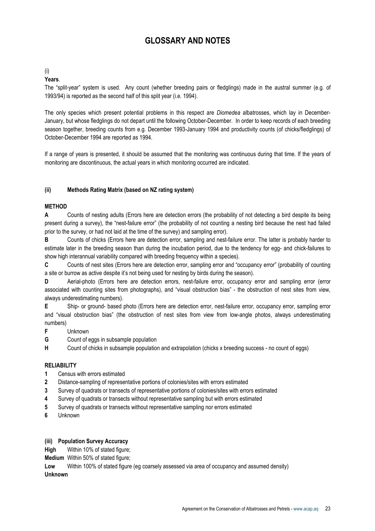# GLOSSARY AND NOTES

# (i)

# Years.

The "split-year" system is used. Any count (whether breeding pairs or fledglings) made in the austral summer (e.g. of 1993/94) is reported as the second half of this split year (i.e. 1994).

The only species which present potential problems in this respect are Diomedea albatrosses, which lay in December-January, but whose fledglings do not depart until the following October-December. In order to keep records of each breeding season together, breeding counts from e.g. December 1993-January 1994 and productivity counts (of chicks/fledglings) of October-December 1994 are reported as 1994.

If a range of years is presented, it should be assumed that the monitoring was continuous during that time. If the years of monitoring are discontinuous, the actual years in which monitoring occurred are indicated.

# (ii) Methods Rating Matrix (based on NZ rating system)

# METHOD

A Counts of nesting adults (Errors here are detection errors (the probability of not detecting a bird despite its being present during a survey), the "nest-failure error" (the probability of not counting a nesting bird because the nest had failed prior to the survey, or had not laid at the time of the survey) and sampling error).

B Counts of chicks (Errors here are detection error, sampling and nest-failure error. The latter is probably harder to estimate later in the breeding season than during the incubation period, due to the tendency for egg- and chick-failures to show high interannual variability compared with breeding frequency within a species).

C Counts of nest sites (Errors here are detection error, sampling error and "occupancy error" (probability of counting a site or burrow as active despite it's not being used for nesting by birds during the season).

D Aerial-photo (Errors here are detection errors, nest-failure error, occupancy error and sampling error (error associated with counting sites from photographs), and "visual obstruction bias" - the obstruction of nest sites from view, always underestimating numbers).

E Ship- or ground- based photo (Errors here are detection error, nest-failure error, occupancy error, sampling error and "visual obstruction bias" (the obstruction of nest sites from view from low-angle photos, always underestimating numbers)

F Unknown

G Count of eggs in subsample population

H Count of chicks in subsample population and extrapolation (chicks x breeding success - no count of eggs)

# **RELIABILITY**

- 1 Census with errors estimated
- 2 Distance-sampling of representative portions of colonies/sites with errors estimated
- 3 Survey of quadrats or transects of representative portions of colonies/sites with errors estimated
- 4 Survey of quadrats or transects without representative sampling but with errors estimated
- 5 Survey of quadrats or transects without representative sampling nor errors estimated
- 6 Unknown

# (iii) Population Survey Accuracy

High Within 10% of stated figure:

Medium Within 50% of stated figure;

Low Within 100% of stated figure (eg coarsely assessed via area of occupancy and assumed density) Unknown